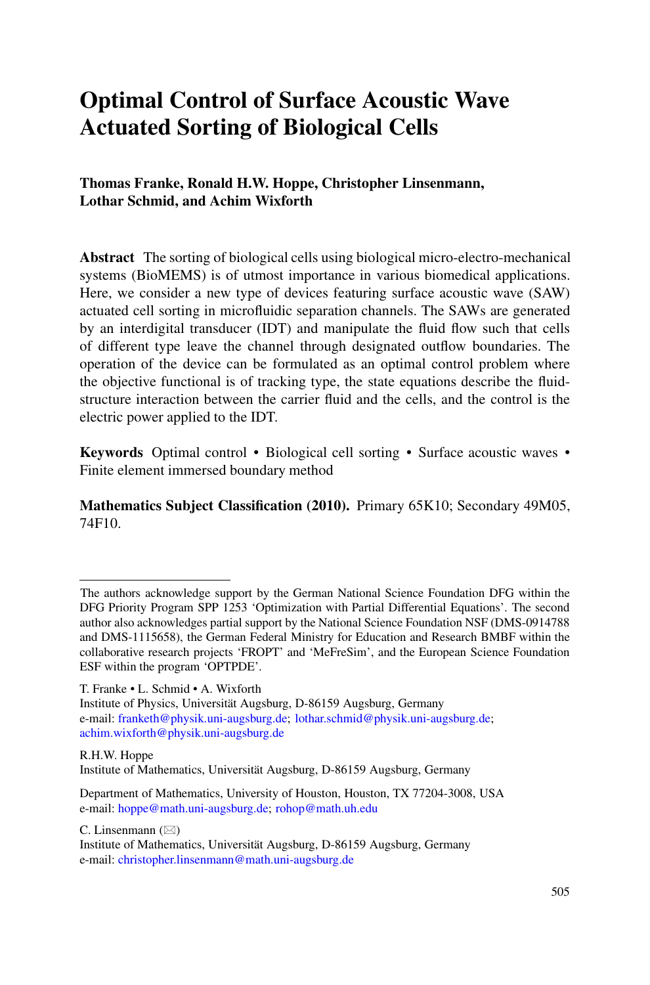# **Optimal Control of Surface Acoustic Wave Actuated Sorting of Biological Cells**

**Thomas Franke, Ronald H.W. Hoppe, Christopher Linsenmann, Lothar Schmid, and Achim Wixforth**

**Abstract** The sorting of biological cells using biological micro-electro-mechanical systems (BioMEMS) is of utmost importance in various biomedical applications. Here, we consider a new type of devices featuring surface acoustic wave (SAW) actuated cell sorting in microfluidic separation channels. The SAWs are generated by an interdigital transducer (IDT) and manipulate the fluid flow such that cells of different type leave the channel through designated outflow boundaries. The operation of the device can be formulated as an optimal control problem where the objective functional is of tracking type, the state equations describe the fluidstructure interaction between the carrier fluid and the cells, and the control is the electric power applied to the IDT.

**Keywords** Optimal control • Biological cell sorting • Surface acoustic waves • Finite element immersed boundary method

**Mathematics Subject Classification (2010).** Primary 65K10; Secondary 49M05, 74F10.

C. Linsenmann  $(\boxtimes)$ 

The authors acknowledge support by the German National Science Foundation DFG within the DFG Priority Program SPP 1253 'Optimization with Partial Differential Equations'. The second author also acknowledges partial support by the National Science Foundation NSF (DMS-0914788 and DMS-1115658), the German Federal Ministry for Education and Research BMBF within the collaborative research projects 'FROPT' and 'MeFreSim', and the European Science Foundation ESF within the program 'OPTPDE'.

T. Franke • L. Schmid • A. Wixforth

Institute of Physics, Universität Augsburg, D-86159 Augsburg, Germany e-mail: [franketh@physik.uni-augsburg.de;](mailto:franketh@physik.uni-augsburg.de) [lothar.schmid@physik.uni-augsburg.de;](mailto:lothar.schmid@physik.uni-augsburg.de) [achim.wixforth@physik.uni-augsburg.de](mailto:achim.wixforth@physik.uni-augsburg.de)

R.H.W. Hoppe Institute of Mathematics, Universität Augsburg, D-86159 Augsburg, Germany

Department of Mathematics, University of Houston, Houston, TX 77204-3008, USA e-mail: [hoppe@math.uni-augsburg.de;](mailto:hoppe@math.uni-augsburg.de) [rohop@math.uh.edu](mailto:rohop@math.uh.edu)

Institute of Mathematics, Universität Augsburg, D-86159 Augsburg, Germany e-mail: [christopher.linsenmann@math.uni-augsburg.de](mailto:christopher.linsenmann@math.uni-augsburg.de)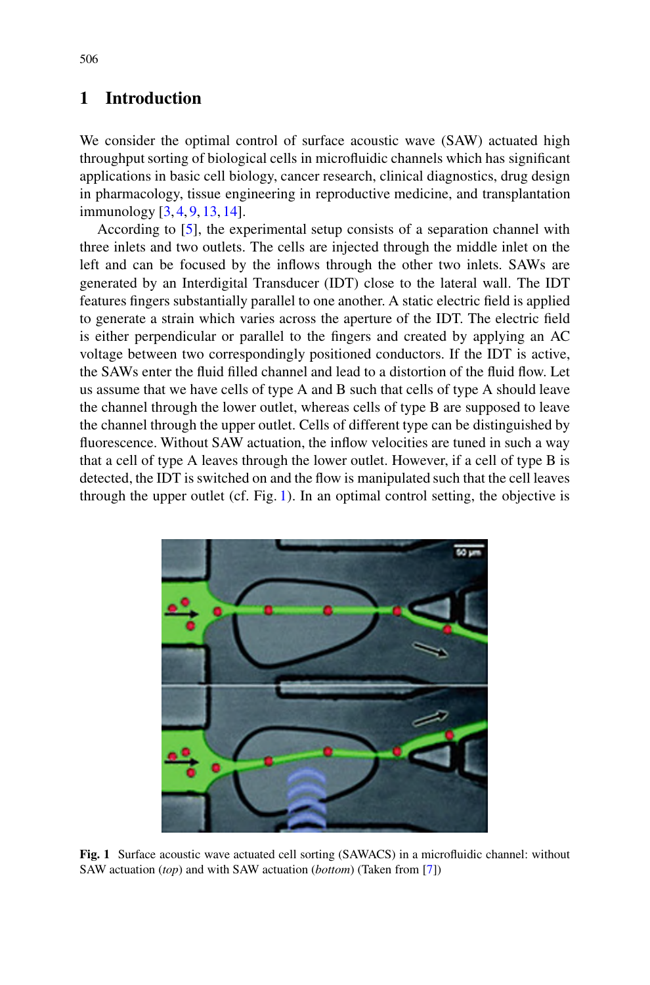# **1 Introduction**

We consider the optimal control of surface acoustic wave (SAW) actuated high throughputsorting of biological cells in microfluidic channels which has significant applications in basic cell biology, cancer research, clinical diagnostics, drug design in pharmacology, tissue engineering in reproductive medicine, and transplantation immunology [\[3,](#page-14-0) [4,](#page-14-0) [9,](#page-14-0) [13,](#page-14-0) [14\]](#page-14-0).

According to [\[5\]](#page-14-0), the experimental setup consists of a separation channel with three inlets and two outlets. The cells are injected through the middle inlet on the left and can be focused by the inflows through the other two inlets. SAWs are generated by an Interdigital Transducer (IDT) close to the lateral wall. The IDT features fingers substantially parallel to one another. A static electric field is applied to generate a strain which varies across the aperture of the IDT. The electric field is either perpendicular or parallel to the fingers and created by applying an AC voltage between two correspondingly positioned conductors. If the IDT is active, the SAWs enter the fluid filled channel and lead to a distortion of the fluid flow. Let us assume that we have cells of type A and B such that cells of type A should leave the channel through the lower outlet, whereas cells of type B are supposed to leave the channel through the upper outlet. Cells of different type can be distinguished by fluorescence. Without SAW actuation, the inflow velocities are tuned in such a way that a cell of type A leaves through the lower outlet. However, if a cell of type B is detected, the IDT is switched on and the flow is manipulated such that the cell leaves through the upper outlet (cf. Fig. 1). In an optimal control setting, the objective is



**Fig. 1** Surface acoustic wave actuated cell sorting (SAWACS) in a microfluidic channel: without SAW actuation (*top*) and with SAW actuation (*bottom*) (Taken from [\[7\]](#page-14-0))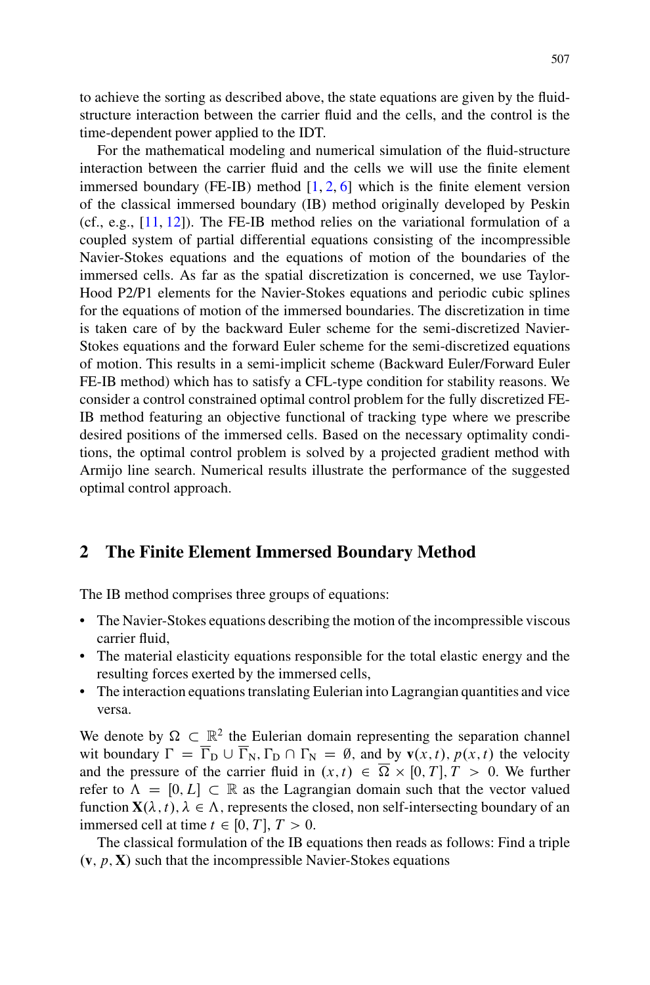to achieve the sorting as described above, the state equations are given by the fluidstructure interaction between the carrier fluid and the cells, and the control is the time-dependent power applied to the IDT.

For the mathematical modeling and numerical simulation of the fluid-structure interaction between the carrier fluid and the cells we will use the finite element immersed boundary (FE-IB) method  $[1, 2, 6]$  $[1, 2, 6]$  $[1, 2, 6]$  $[1, 2, 6]$  $[1, 2, 6]$  which is the finite element version of the classical immersed boundary (IB) method originally developed by Peskin (cf., e.g., [\[11,](#page-14-0) [12\]](#page-14-0)). The FE-IB method relies on the variational formulation of a coupled system of partial differential equations consisting of the incompressible Navier-Stokes equations and the equations of motion of the boundaries of the immersed cells. As far as the spatial discretization is concerned, we use Taylor-Hood P2/P1 elements for the Navier-Stokes equations and periodic cubic splines for the equations of motion of the immersed boundaries. The discretization in time is taken care of by the backward Euler scheme for the semi-discretized Navier-Stokes equations and the forward Euler scheme for the semi-discretized equations of motion. This results in a semi-implicit scheme (Backward Euler/Forward Euler FE-IB method) which has to satisfy a CFL-type condition for stability reasons. We consider a control constrained optimal control problem for the fully discretized FE-IB method featuring an objective functional of tracking type where we prescribe desired positions of the immersed cells. Based on the necessary optimality conditions, the optimal control problem is solved by a projected gradient method with Armijo line search. Numerical results illustrate the performance of the suggested optimal control approach.

## **2 The Finite Element Immersed Boundary Method**

The IB method comprises three groups of equations:

- The Navier-Stokes equations describing the motion of the incompressible viscous carrier fluid,
- The material elasticity equations responsible for the total elastic energy and the resulting forces exerted by the immersed cells,
- The interaction equations translating Eulerian into Lagrangian quantities and vice versa.

We denote by  $\Omega \subset \mathbb{R}^2$  the Eulerian domain representing the separation channel<br>wit boundary  $\Gamma = \overline{\Gamma}_D \sqcup \overline{\Gamma}_M$ ,  $\Gamma_D \cap \Gamma_M = \emptyset$  and by  $y(x, t)$   $p(x, t)$  the velocity wit boundary  $\Gamma = \overline{\Gamma}_{D} \cup \overline{\Gamma}_{N}, \Gamma_{D} \cap \Gamma_{N} = \emptyset$ , and by  $\mathbf{v}(x, t)$ ,  $p(x, t)$  the velocity and the pressure of the carrier fluid in  $(x, t) \in \Omega \times [0, T]$ ,  $T > 0$ . We further refer to  $\Lambda = [0, L] \subset \mathbb{R}$  as the Lagrangian domain such that the vector valued<br>function  $\mathbf{X}(\lambda, t)$ ,  $\lambda \in \Lambda$  represents the closed, non-self-intersecting boundary of an function  $\mathbf{X}(\lambda, t)$ ,  $\lambda \in \Lambda$ , represents the closed, non self-intersecting boundary of an immersed cell at time  $t \in [0, T]$ ,  $T > 0$ .

The classical formulation of the IB equations then reads as follows: Find a triple  $(v, p, X)$  such that the incompressible Navier-Stokes equations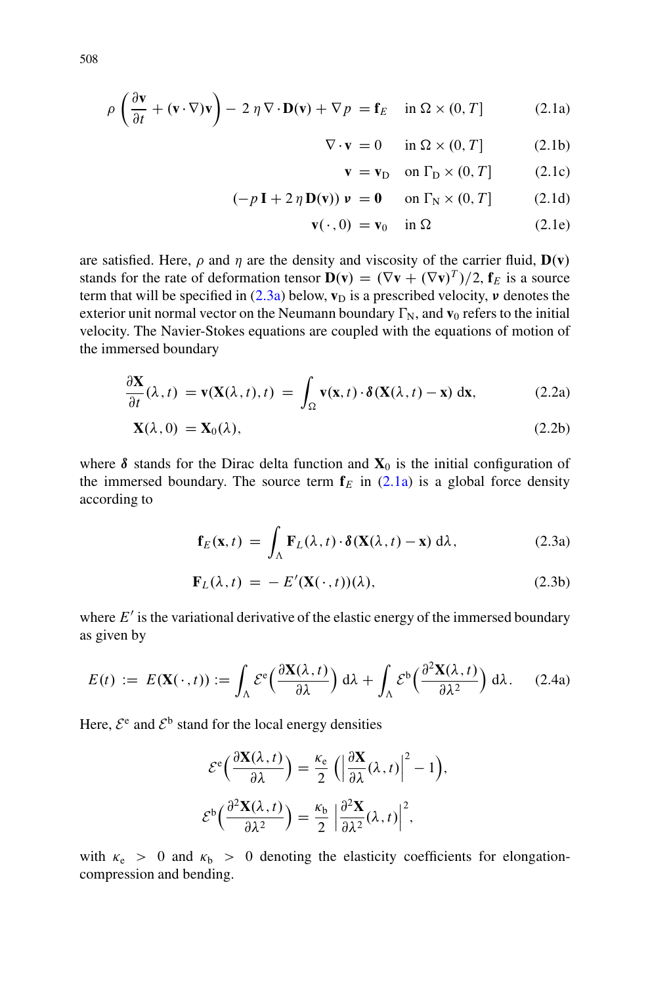$$
\rho \left( \frac{\partial \mathbf{v}}{\partial t} + (\mathbf{v} \cdot \nabla) \mathbf{v} \right) - 2 \eta \nabla \cdot \mathbf{D}(\mathbf{v}) + \nabla p = \mathbf{f}_E \quad \text{in } \Omega \times (0, T] \tag{2.1a}
$$

$$
\nabla \cdot \mathbf{v} = 0 \quad \text{in } \Omega \times (0, T] \tag{2.1b}
$$

$$
\mathbf{v} = \mathbf{v}_D \quad \text{on } \Gamma_D \times (0, T] \tag{2.1c}
$$

$$
(-p\mathbf{I} + 2\eta \mathbf{D}(\mathbf{v})) \mathbf{v} = \mathbf{0} \quad \text{on } \Gamma_{\mathbf{N}} \times (0, T] \tag{2.1d}
$$

$$
\mathbf{v}(\cdot,0) = \mathbf{v}_0 \quad \text{in } \Omega \tag{2.1e}
$$

are satisfied. Here,  $\rho$  and  $\eta$  are the density and viscosity of the carrier fluid,  $\mathbf{D(v)}$ stands for the rate of deformation tensor  $\mathbf{D}(\mathbf{v}) = (\nabla \mathbf{v} + (\nabla \mathbf{v})^T)/2$ ,  $\mathbf{f}_E$  is a source<br>term that will be specified in (2.3a) below  $\mathbf{v}_D$  is a prescribed velocity **v** denotes the term that will be specified in  $(2.3a)$  below,  $\mathbf{v}_D$  is a prescribed velocity,  $\mathbf{v}$  denotes the exterior unit normal vector on the Neumann boundary  $\Gamma_N$ , and  $\mathbf{v}_0$  refers to the initial velocity. The Navier-Stokes equations are coupled with the equations of motion of the immersed boundary

$$
\frac{\partial \mathbf{X}}{\partial t}(\lambda, t) = \mathbf{v}(\mathbf{X}(\lambda, t), t) = \int_{\Omega} \mathbf{v}(\mathbf{x}, t) \cdot \delta(\mathbf{X}(\lambda, t) - \mathbf{x}) \, \mathrm{d}\mathbf{x},\tag{2.2a}
$$

$$
\mathbf{X}(\lambda,0) = \mathbf{X}_0(\lambda),\tag{2.2b}
$$

where  $\delta$  stands for the Dirac delta function and  $\mathbf{X}_0$  is the initial configuration of the immersed boundary. The source term  $f_E$  in (2.1a) is a global force density according to

$$
\mathbf{f}_{E}(\mathbf{x},t) = \int_{\Lambda} \mathbf{F}_{L}(\lambda,t) \cdot \delta(\mathbf{X}(\lambda,t) - \mathbf{x}) d\lambda, \qquad (2.3a)
$$

$$
\mathbf{F}_L(\lambda, t) = -E'(\mathbf{X}(\cdot, t))(\lambda), \tag{2.3b}
$$

where  $E'$  is the variational derivative of the elastic energy of the immersed boundary as given by

$$
E(t) := E(\mathbf{X}(\cdot, t)) := \int_{\Lambda} \mathcal{E}^{\text{e}}\left(\frac{\partial \mathbf{X}(\lambda, t)}{\partial \lambda}\right) d\lambda + \int_{\Lambda} \mathcal{E}^{\text{b}}\left(\frac{\partial^2 \mathbf{X}(\lambda, t)}{\partial \lambda^2}\right) d\lambda. \quad (2.4a)
$$

Here,  $\mathcal{E}^e$  and  $\mathcal{E}^b$  stand for the local energy densities

$$
\mathcal{E}^{\text{e}}\Big(\frac{\partial \mathbf{X}(\lambda, t)}{\partial \lambda}\Big) = \frac{\kappa_{\text{e}}}{2} \left( \left| \frac{\partial \mathbf{X}}{\partial \lambda}(\lambda, t) \right|^2 - 1 \right),
$$
  

$$
\mathcal{E}^{\text{b}}\Big(\frac{\partial^2 \mathbf{X}(\lambda, t)}{\partial \lambda^2}\Big) = \frac{\kappa_{\text{b}}}{2} \left| \frac{\partial^2 \mathbf{X}}{\partial \lambda^2}(\lambda, t) \right|^2,
$$

with  $\kappa_e > 0$  and  $\kappa_b > 0$  denoting the elasticity coefficients for elongationcompression and bending.

<span id="page-3-0"></span>508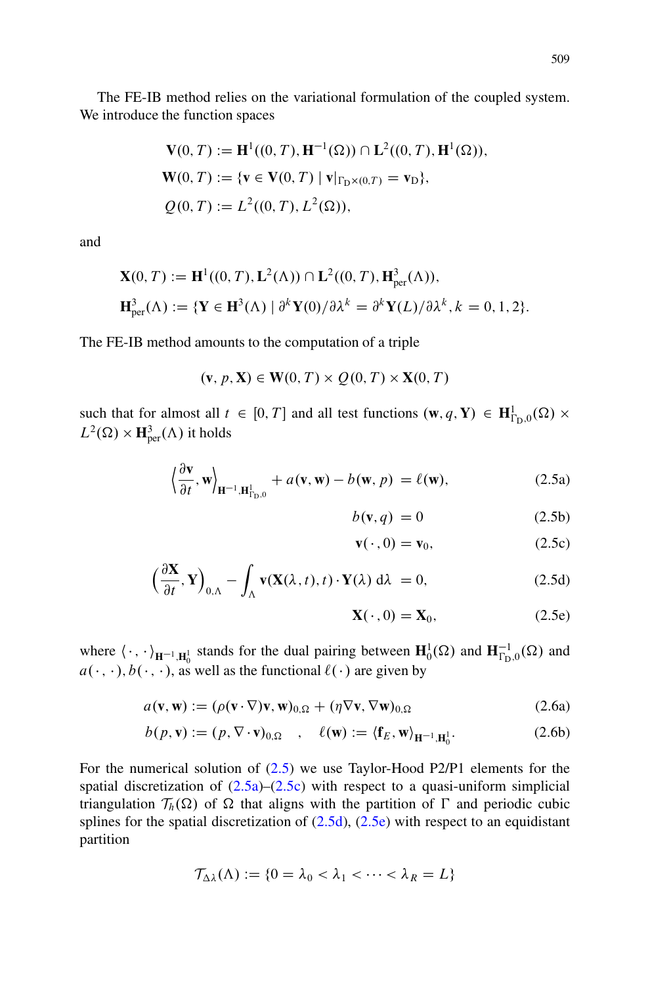<span id="page-4-0"></span>The FE-IB method relies on the variational formulation of the coupled system. We introduce the function spaces

$$
\mathbf{V}(0, T) := \mathbf{H}^{1}((0, T), \mathbf{H}^{-1}(\Omega)) \cap \mathbf{L}^{2}((0, T), \mathbf{H}^{1}(\Omega)),
$$
  
\n
$$
\mathbf{W}(0, T) := \{ \mathbf{v} \in \mathbf{V}(0, T) \mid \mathbf{v}|_{\Gamma_{D} \times (0, T)} = \mathbf{v}_{D} \},
$$
  
\n
$$
Q(0, T) := L^{2}((0, T), L^{2}(\Omega)),
$$

and

$$
\mathbf{X}(0,T) := \mathbf{H}^1((0,T), \mathbf{L}^2(\Lambda)) \cap \mathbf{L}^2((0,T), \mathbf{H}_{\text{per}}^3(\Lambda)),
$$
  
\n
$$
\mathbf{H}_{\text{per}}^3(\Lambda) := \{ \mathbf{Y} \in \mathbf{H}^3(\Lambda) \mid \partial^k \mathbf{Y}(0) / \partial \lambda^k = \partial^k \mathbf{Y}(L) / \partial \lambda^k, k = 0, 1, 2 \}.
$$

The FE-IB method amounts to the computation of a triple

$$
(\mathbf{v}, p, \mathbf{X}) \in \mathbf{W}(0, T) \times Q(0, T) \times \mathbf{X}(0, T)
$$

such that for almost all  $t \in [0, T]$  and all test functions  $(\mathbf{w}, q, \mathbf{Y}) \in \mathbf{H}_{\Gamma_{\text{D}},0}^1(\Omega) \times L^2(\Omega) \times \mathbf{H}^3$ . (A) it holds  $L^2(\Omega) \times \mathbf{H}_{\text{per}}^3(\Lambda)$  it holds

$$
\left\langle \frac{\partial \mathbf{v}}{\partial t}, \mathbf{w} \right\rangle_{\mathbf{H}^{-1}, \mathbf{H}_{\Gamma_{\text{D}},0}^{1}} + a(\mathbf{v}, \mathbf{w}) - b(\mathbf{w}, p) = \ell(\mathbf{w}), \tag{2.5a}
$$

$$
b(\mathbf{v},q) = 0 \tag{2.5b}
$$

$$
\mathbf{v}(\,\cdot\,,0)=\mathbf{v}_0,\tag{2.5c}
$$

$$
\left(\frac{\partial \mathbf{X}}{\partial t}, \mathbf{Y}\right)_{0,\Lambda} - \int_{\Lambda} \mathbf{v}(\mathbf{X}(\lambda, t), t) \cdot \mathbf{Y}(\lambda) d\lambda = 0, \tag{2.5d}
$$

$$
\mathbf{X}(\cdot,0) = \mathbf{X}_0,\tag{2.5e}
$$

where  $\langle \cdot, \cdot \rangle_{\mathbf{H}^{-1}, \mathbf{H}_0^1}$  stands for the dual pairing between  $\mathbf{H}_0^1(\Omega)$  and  $\mathbf{H}_{\Gamma_D,0}^{-1}(\Omega)$  and  $\mathbf{H}_{\Gamma_D,0}^{-1}(\Omega)$  $a(\cdot, \cdot), b(\cdot, \cdot)$ , as well as the functional  $\ell(\cdot)$  are given by

$$
a(\mathbf{v}, \mathbf{w}) := (\rho(\mathbf{v} \cdot \nabla)\mathbf{v}, \mathbf{w})_{0,\Omega} + (\eta \nabla \mathbf{v}, \nabla \mathbf{w})_{0,\Omega}
$$
(2.6a)

$$
b(p, \mathbf{v}) := (p, \nabla \cdot \mathbf{v})_{0,\Omega} \quad , \quad \ell(\mathbf{w}) := \langle \mathbf{f}_E, \mathbf{w} \rangle_{\mathbf{H}^{-1}, \mathbf{H}_0^1}.
$$
 (2.6b)

For the numerical solution of (2.5) we use Taylor-Hood P2/P1 elements for the spatial discretization of  $(2.5a)$ – $(2.5c)$  with respect to a quasi-uniform simplicial triangulation  $\mathcal{T}_h(\Omega)$  of  $\Omega$  that aligns with the partition of  $\Gamma$  and periodic cubic splines for the spatial discretization of  $(2.5d)$ ,  $(2.5e)$  with respect to an equidistant partition

$$
\mathcal{T}_{\Delta\lambda}(\Lambda) := \{0 = \lambda_0 < \lambda_1 < \cdots < \lambda_R = L\}
$$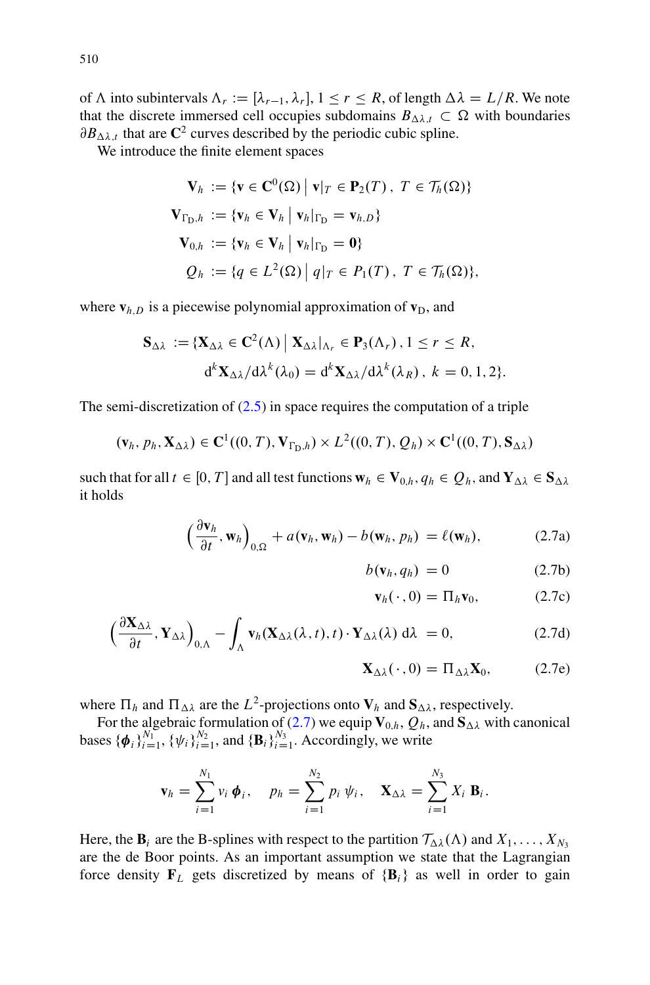<span id="page-5-0"></span>of  $\Lambda$  into subintervals  $\Lambda_r := [\lambda_{r-1}, \lambda_r], 1 \le r \le R$ , of length  $\Delta \lambda = L/R$ . We note<br>that the discrete immersed cell occupies subdomains  $R_{\lambda, \lambda, \epsilon} \subset \Omega$  with boundaries that the discrete immersed cell occupies subdomains  $B_{\Delta\lambda,t} \subset \Omega$  with boundaries  $\partial B_{\lambda\lambda,t}$  that are  $\mathbb{C}^2$  curves described by the periodic cubic spline  $\partial B_{\Delta\lambda,t}$  that are  $\mathbb{C}^2$  curves described by the periodic cubic spline.

We introduce the finite element spaces

$$
\mathbf{V}_h := \{ \mathbf{v} \in \mathbf{C}^0(\Omega) \mid \mathbf{v}|_T \in \mathbf{P}_2(T), T \in \mathcal{T}_h(\Omega) \}
$$
  
\n
$$
\mathbf{V}_{\Gamma_D,h} := \{ \mathbf{v}_h \in \mathbf{V}_h \mid \mathbf{v}_h|_{\Gamma_D} = \mathbf{v}_{h,D} \}
$$
  
\n
$$
\mathbf{V}_{0,h} := \{ \mathbf{v}_h \in \mathbf{V}_h \mid \mathbf{v}_h|_{\Gamma_D} = \mathbf{0} \}
$$
  
\n
$$
Q_h := \{ q \in L^2(\Omega) \mid q|_T \in P_1(T), T \in \mathcal{T}_h(\Omega) \},
$$

where  $\mathbf{v}_{h,D}$  is a piecewise polynomial approximation of  $\mathbf{v}_D$ , and

$$
\mathbf{S}_{\Delta\lambda} := \{ \mathbf{X}_{\Delta\lambda} \in \mathbf{C}^2(\Lambda) \, \big| \, \mathbf{X}_{\Delta\lambda} \big|_{\Lambda_r} \in \mathbf{P}_3(\Lambda_r), 1 \le r \le R,
$$
  

$$
d^k \mathbf{X}_{\Delta\lambda} / d\lambda^k(\lambda_0) = d^k \mathbf{X}_{\Delta\lambda} / d\lambda^k(\lambda_R), k = 0, 1, 2 \}.
$$

The semi-discretization of  $(2.5)$  in space requires the computation of a triple

$$
(\mathbf{v}_h, p_h, \mathbf{X}_{\Delta \lambda}) \in \mathbf{C}^1((0, T), \mathbf{V}_{\Gamma_D, h}) \times L^2((0, T), Q_h) \times \mathbf{C}^1((0, T), \mathbf{S}_{\Delta \lambda})
$$

such that for all  $t \in [0, T]$  and all test functions  $\mathbf{w}_h \in \mathbf{V}_{0,h}, q_h \in Q_h$ , and  $\mathbf{Y}_{\Delta \lambda} \in \mathbf{S}_{\Delta \lambda}$ it holds

$$
\left(\frac{\partial \mathbf{v}_h}{\partial t}, \mathbf{w}_h\right)_{0,\Omega} + a(\mathbf{v}_h, \mathbf{w}_h) - b(\mathbf{w}_h, p_h) = \ell(\mathbf{w}_h),\tag{2.7a}
$$

$$
b(\mathbf{v}_h, q_h) = 0 \tag{2.7b}
$$

$$
\mathbf{v}_h(\cdot,0)=\Pi_h\mathbf{v}_0,\qquad(2.7c)
$$

$$
\left(\frac{\partial \mathbf{X}_{\Delta\lambda}}{\partial t}, \mathbf{Y}_{\Delta\lambda}\right)_{0,\Lambda} - \int_{\Lambda} \mathbf{v}_h(\mathbf{X}_{\Delta\lambda}(\lambda, t), t) \cdot \mathbf{Y}_{\Delta\lambda}(\lambda) d\lambda = 0, \tag{2.7d}
$$

$$
\mathbf{X}_{\Delta\lambda}(\cdot,0) = \Pi_{\Delta\lambda}\mathbf{X}_0,\tag{2.7e}
$$

where  $\Pi_h$  and  $\Pi_{\Delta\lambda}$  are the  $L^2$ -projections onto  $V_h$  and  $S_{\Delta\lambda}$ , respectively.

For the algebraic formulation of (2.7) we equip  $\mathbf{V}_{0,h}$ ,  $Q_h$ , and  $\mathbf{S}_{\Delta\lambda}$  with canonical bases  $\{\boldsymbol{\phi}_i\}$  $X_1^{N_1}$ , { $\psi_i$ } $X_2^{N_2}$ , and { $\mathbf{B}_i$ } $X_3^{N_3}$ . Accordingly, we write

$$
\mathbf{v}_h = \sum_{i=1}^{N_1} v_i \, \boldsymbol{\phi}_i, \quad p_h = \sum_{i=1}^{N_2} p_i \, \psi_i, \quad \mathbf{X}_{\Delta \lambda} = \sum_{i=1}^{N_3} X_i \, \mathbf{B}_i.
$$

Here, the **B**<sub>i</sub> are the B-splines with respect to the partition  $\mathcal{T}_{\Delta \lambda}(\Lambda)$  and  $X_1, \ldots, X_{N_3}$ are the de Boor points. As an important assumption we state that the Lagrangian force density  $\mathbf{F}_L$  gets discretized by means of  $\{\mathbf{B}_i\}$  as well in order to gain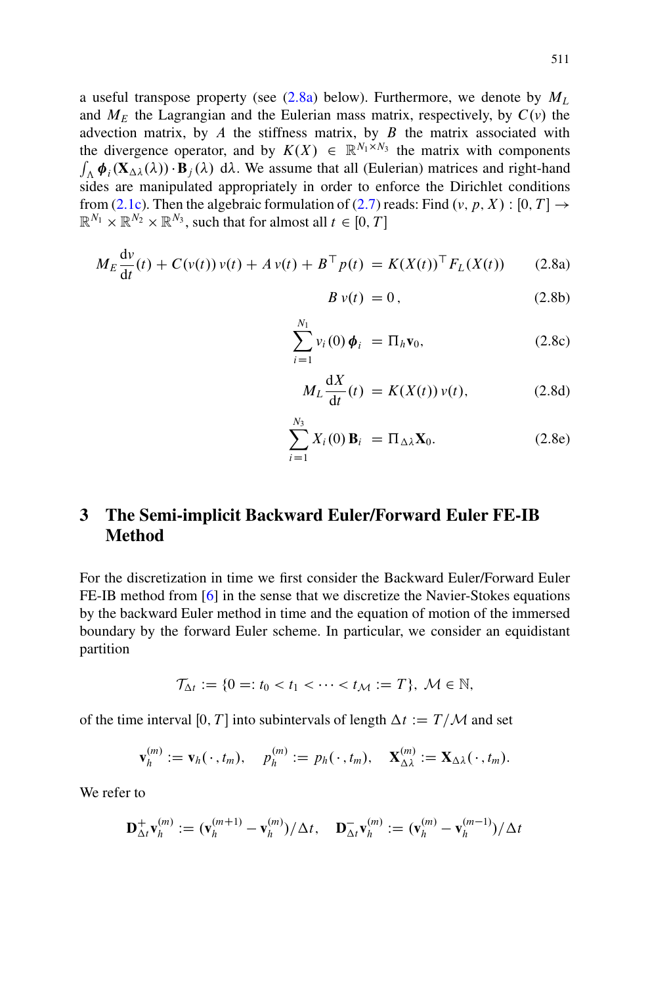<span id="page-6-0"></span>a useful transpose property (see  $(2.8a)$  below). Furthermore, we denote by  $M_L$ and  $M_F$  the Lagrangian and the Eulerian mass matrix, respectively, by  $C(v)$  the advection matrix, by A the stiffness matrix, by B the matrix associated with the divergence operator, and by  $K(X) \in \mathbb{R}^{N_1 \times N_3}$  the matrix with components  $\int \mathbf{A} \cdot (\mathbf{X} \cdot \mathbf{A}) \cdot (\mathbf{A}) d\mathbf{A}$ . We assume that all (Fulerian) matrices and right-hand  $\int_{\Lambda} \phi_i(\mathbf{X}_{\Delta \lambda}(\lambda)) \cdot \mathbf{B}_j(\lambda) d\lambda$ . We assume that all (Eulerian) matrices and right-hand<br>sides are manipulated appropriately in order to enforce the Dirichlet conditions  $J_A \Psi_i (\mathbf{A}_{\Delta\lambda}(\lambda)) \cdot \mathbf{B}_j(\lambda)$  a. We assume that an (Eurerian) matrices and right-hand<br>sides are manipulated appropriately in order to enforce the Dirichlet conditions from [\(2.1c\)](#page-3-0). Then the algebraic formulation of [\(2.7\)](#page-5-0) reads: Find  $(v, p, X) : [0, T] \rightarrow$  $\mathbb{R}^{N_1} \times \mathbb{R}^{N_2} \times \mathbb{R}^{N_3}$ , such that for almost all  $t \in [0, T]$ 

$$
M_E \frac{dv}{dt}(t) + C(v(t))v(t) + A v(t) + B^{\top} p(t) = K(X(t))^{\top} F_L(X(t))
$$
 (2.8a)

$$
B v(t) = 0, \qquad (2.8b)
$$

$$
\sum_{i=1}^{N_1} v_i(0) \phi_i = \Pi_h \mathbf{v}_0, \qquad (2.8c)
$$

$$
M_L \frac{dX}{dt}(t) = K(X(t)) v(t), \qquad (2.8d)
$$

$$
\sum_{i=1}^{N_3} X_i(0) \mathbf{B}_i = \Pi_{\Delta \lambda} \mathbf{X}_0.
$$
 (2.8e)

# **3 The Semi-implicit Backward Euler/Forward Euler FE-IB Method**

For the discretization in time we first consider the Backward Euler/Forward Euler FE-IB method from [\[6\]](#page-14-0) in the sense that we discretize the Navier-Stokes equations by the backward Euler method in time and the equation of motion of the immersed boundary by the forward Euler scheme. In particular, we consider an equidistant partition

$$
\mathcal{T}_{\Delta t} := \{0 =: t_0 < t_1 < \cdots < t_\mathcal{M} := T\}, \ \mathcal{M} \in \mathbb{N},
$$

of the time interval [0, T] into subintervals of length  $\Delta t := T/M$  and set

$$
\mathbf{v}_h^{(m)} := \mathbf{v}_h(\cdot,t_m), \quad p_h^{(m)} := p_h(\cdot,t_m), \quad \mathbf{X}_{\Delta\lambda}^{(m)} := \mathbf{X}_{\Delta\lambda}(\cdot,t_m).
$$

We refer to

$$
\mathbf{D}_{\Delta t}^+ \mathbf{v}_h^{(m)} := (\mathbf{v}_h^{(m+1)} - \mathbf{v}_h^{(m)})/\Delta t, \quad \mathbf{D}_{\Delta t}^- \mathbf{v}_h^{(m)} := (\mathbf{v}_h^{(m)} - \mathbf{v}_h^{(m-1)})/\Delta t
$$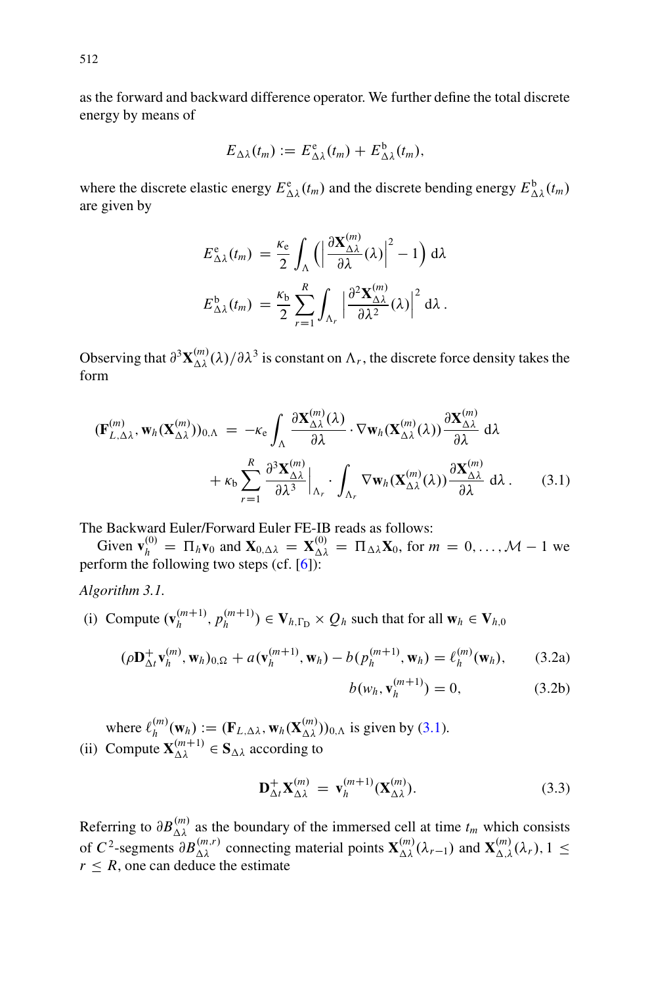as the forward and backward difference operator. We further define the total discrete energy by means of

$$
E_{\Delta\lambda}(t_m) := E_{\Delta\lambda}^{\rm e}(t_m) + E_{\Delta\lambda}^{\rm b}(t_m),
$$

where the discrete elastic energy  $E_{\Delta\lambda}^e(t_m)$  and the discrete bending energy  $E_{\Delta\lambda}^b(t_m)$ are given by

$$
E_{\Delta\lambda}^{\rm e}(t_m) = \frac{\kappa_{\rm e}}{2} \int_{\Lambda} \left( \left| \frac{\partial \mathbf{X}_{\Delta\lambda}^{(m)}}{\partial \lambda}(\lambda) \right|^2 - 1 \right) d\lambda
$$
  

$$
E_{\Delta\lambda}^{\rm b}(t_m) = \frac{\kappa_{\rm b}}{2} \sum_{r=1}^{R} \int_{\Lambda_r} \left| \frac{\partial^2 \mathbf{X}_{\Delta\lambda}^{(m)}}{\partial \lambda^2}(\lambda) \right|^2 d\lambda.
$$

Observing that  $\partial^3 \mathbf{X}_{\Delta \lambda}^{(m)}$  $\int_{\Delta\lambda}^{(m)} (\lambda)/\partial\lambda^3$  is constant on  $\Lambda_r$ , the discrete force density takes the form

$$
\begin{split} (\mathbf{F}_{L,\Delta\lambda}^{(m)}, \mathbf{w}_{h}(\mathbf{X}_{\Delta\lambda}^{(m)}))_{0,\Lambda} &= -\kappa_{\rm e} \int_{\Lambda} \frac{\partial \mathbf{X}_{\Delta\lambda}^{(m)}(\lambda)}{\partial \lambda} \cdot \nabla \mathbf{w}_{h}(\mathbf{X}_{\Delta\lambda}^{(m)}(\lambda)) \frac{\partial \mathbf{X}_{\Delta\lambda}^{(m)}}{\partial \lambda} \, \mathrm{d}\lambda \\ &+ \kappa_{\rm b} \sum_{r=1}^{R} \frac{\partial^{3} \mathbf{X}_{\Delta\lambda}^{(m)}}{\partial \lambda^{3}} \Big|_{\Lambda_{r}} \cdot \int_{\Lambda_{r}} \nabla \mathbf{w}_{h}(\mathbf{X}_{\Delta\lambda}^{(m)}(\lambda)) \frac{\partial \mathbf{X}_{\Delta\lambda}^{(m)}}{\partial \lambda} \, \mathrm{d}\lambda \,. \end{split} \tag{3.1}
$$

The Backward Euler/Forward Euler FE-IB reads as follows:

Given  $\mathbf{v}_h^{(0)} = \Pi_h \mathbf{v}_0$  and  $\mathbf{X}_{0,\Delta\lambda} = \mathbf{X}_{\Delta\lambda}^{(0)} = \Pi_{\Delta\lambda} \mathbf{X}_0$ , for  $m = 0, \dots, \mathcal{M} - 1$  we perform the following two steps (cf. [\[6\]](#page-14-0)):

#### *Algorithm 3.1.*

(i) Compute  $(\mathbf{v}_h^{(m+1)}, p_h^{(m+1)}) \in \mathbf{V}_{h,\Gamma_D} \times Q_h$  such that for all  $\mathbf{w}_h \in \mathbf{V}_{h,0}$ 

$$
(\rho \mathbf{D}_{\Delta t}^+ \mathbf{v}_h^{(m)}, \mathbf{w}_h)_{0,\Omega} + a(\mathbf{v}_h^{(m+1)}, \mathbf{w}_h) - b(p_h^{(m+1)}, \mathbf{w}_h) = \ell_h^{(m)}(\mathbf{w}_h), \qquad (3.2a)
$$

$$
b(w_h, \mathbf{v}_h^{(m+1)}) = 0,\t(3.2b)
$$

where  $\ell_h^{(m)}$  $\mathbf{w}_h^{(m)}(\mathbf{w}_h) := (\mathbf{F}_{L,\Delta\lambda}, \mathbf{w}_h(\mathbf{X}_{\Delta\lambda}^{(m)}))$  $\binom{(m)}{\Delta\lambda}$ )<sub>0, $\Lambda$ </sub> is given by (3.1). (ii) Compute  $\mathbf{X}_{\Delta \lambda}^{(m+1)} \in \mathbf{S}_{\Delta \lambda}$  according to

$$
\mathbf{D}_{\Delta t}^{+} \mathbf{X}_{\Delta \lambda}^{(m)} = \mathbf{v}_h^{(m+1)} (\mathbf{X}_{\Delta \lambda}^{(m)}). \tag{3.3}
$$

Referring to  $\partial B_{\Lambda\lambda}^{(m)}$  $\frac{m}{\Delta\lambda}$  as the boundary of the immersed cell at time  $t_m$  which consists of C<sup>2</sup>-segments  $\partial B_{\Delta\lambda}^{(m,r)}$  $\chi_{\Delta\lambda}^{(m,r)}$  connecting material points  $\mathbf{X}_{\Delta\lambda}^{(m)}$  $\sum_{\Delta\lambda}^{(m)} (\lambda_{r-1})$  and  $\mathbf{X}_{\Delta,\lambda}^{(m)}$  $\sum_{\Delta,\lambda}^{(m)} (\lambda_r), 1 \leq$  $r \leq R$ , one can deduce the estimate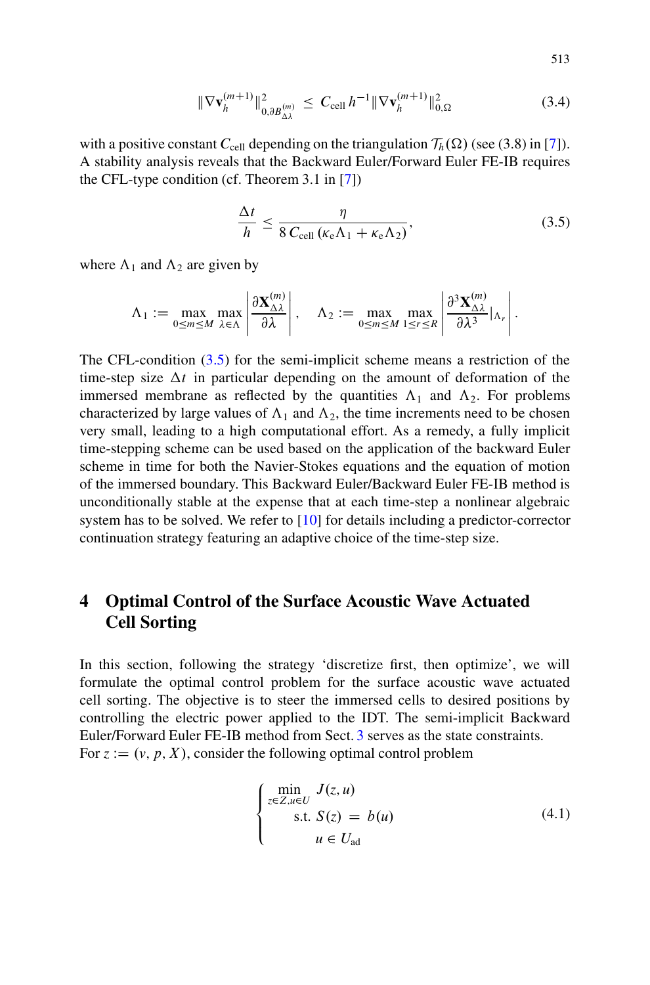$$
\|\nabla \mathbf{v}_h^{(m+1)}\|_{0,\partial B_{\Delta\lambda}^{(m)}}^2 \leq C_{\text{cell}} h^{-1} \|\nabla \mathbf{v}_h^{(m+1)}\|_{0,\Omega}^2 \tag{3.4}
$$

<span id="page-8-0"></span>with a positive constant  $C_{cell}$  depending on the triangulation  $\mathcal{T}_h(\Omega)$  (see (3.8) in [\[7\]](#page-14-0)). A stability analysis reveals that the Backward Euler/Forward Euler FE-IB requires the CFL-type condition (cf. Theorem 3.1 in [\[7\]](#page-14-0))

$$
\frac{\Delta t}{h} \le \frac{\eta}{8 C_{\text{cell}} \left(\kappa_{\text{e}} \Lambda_1 + \kappa_{\text{e}} \Lambda_2\right)},\tag{3.5}
$$

where  $\Lambda_1$  and  $\Lambda_2$  are given by

$$
\Lambda_1 := \max_{0 \le m \le M} \max_{\lambda \in \Lambda} \left| \frac{\partial \mathbf{X}_{\Delta \lambda}^{(m)}}{\partial \lambda} \right|, \quad \Lambda_2 := \max_{0 \le m \le M} \max_{1 \le r \le R} \left| \frac{\partial^3 \mathbf{X}_{\Delta \lambda}^{(m)}}{\partial \lambda^3} \big|_{\Lambda_r} \right|.
$$

The CFL-condition (3.5) for the semi-implicit scheme means a restriction of the time-step size  $\Delta t$  in particular depending on the amount of deformation of the immersed membrane as reflected by the quantities  $\Lambda_1$  and  $\Lambda_2$ . For problems characterized by large values of  $\Lambda_1$  and  $\Lambda_2$ , the time increments need to be chosen very small, leading to a high computational effort. As a remedy, a fully implicit time-stepping scheme can be used based on the application of the backward Euler scheme in time for both the Navier-Stokes equations and the equation of motion of the immersed boundary. This Backward Euler/Backward Euler FE-IB method is unconditionally stable at the expense that at each time-step a nonlinear algebraic system has to be solved. We refer to  $[10]$  for details including a predictor-corrector continuation strategy featuring an adaptive choice of the time-step size.

# **4 Optimal Control of the Surface Acoustic Wave Actuated Cell Sorting**

In this section, following the strategy 'discretize first, then optimize', we will formulate the optimal control problem for the surface acoustic wave actuated cell sorting. The objective is to steer the immersed cells to desired positions by controlling the electric power applied to the IDT. The semi-implicit Backward Euler/Forward Euler FE-IB method from Sect. [3](#page-6-0) serves as the state constraints. For  $z := (v, p, X)$ , consider the following optimal control problem

$$
\begin{cases}\n\min_{z \in Z, u \in U} J(z, u) \\
\text{s.t. } S(z) = b(u) \\
u \in U_{\text{ad}}\n\end{cases}
$$
\n(4.1)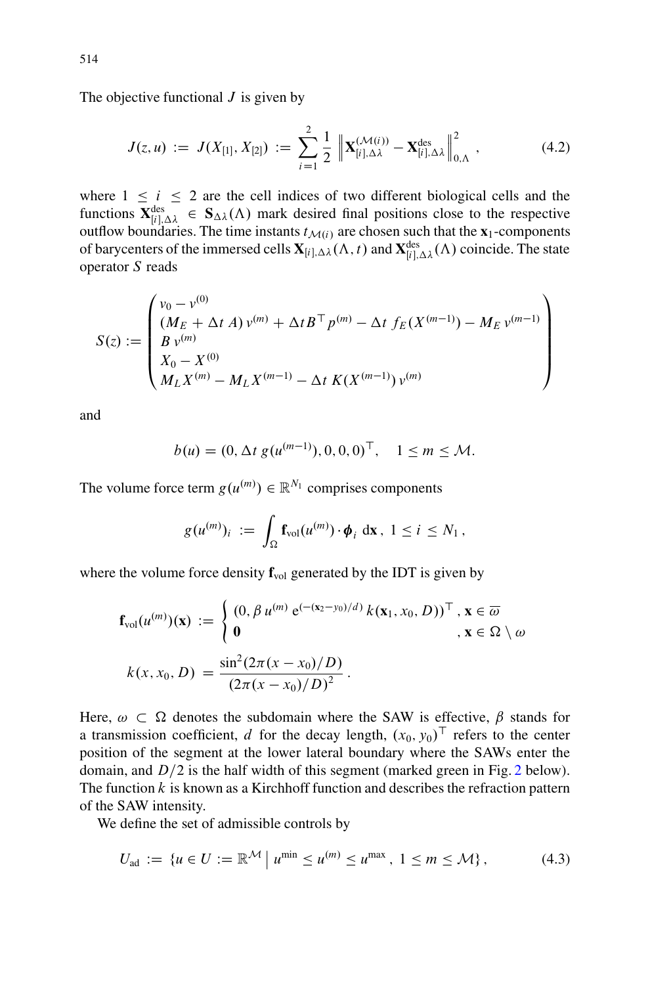<span id="page-9-0"></span>The objective functional  $J$  is given by

$$
J(z, u) := J(X_{[1]}, X_{[2]}) := \sum_{i=1}^{2} \frac{1}{2} \left\| \mathbf{X}_{[i], \Delta \lambda}^{(\mathcal{M}(i))} - \mathbf{X}_{[i], \Delta \lambda}^{\text{des}} \right\|_{0, \Lambda}^{2}, \qquad (4.2)
$$

where  $1 \leq i \leq 2$  are the cell indices of two different biological cells and the functions  $\mathbf{X}_{[i],\Delta\lambda}^{\text{des}} \in \mathbf{S}_{\Delta\lambda}(\Lambda)$  mark desired final positions close to the respective outflow boundaries. The time instants outflow boundaries. The time instants  $t_{\mathcal{M}(i)}$  are chosen such that the  $\mathbf{x}_1$ -components of barycenters of the immersed cells  $X_{[i],\Delta\lambda}(\Lambda,t)$  and  $X_{[i],\Delta\lambda}^{\text{des}}(\Lambda)$  coincide. The state operator S reads

$$
S(z) := \begin{pmatrix} v_0 - v^{(0)} & & \\ (M_E + \Delta t \ A) \ v^{(m)} + \Delta t \ B^\top p^{(m)} - \Delta t \ f_E(X^{(m-1)}) - M_E \ v^{(m-1)} \\ B \ v^{(m)} & & \\ X_0 - X^{(0)} & & \\ M_L X^{(m)} - M_L X^{(m-1)} - \Delta t \ K(X^{(m-1)}) \ v^{(m)} & \end{pmatrix}
$$

and

$$
b(u) = (0, \Delta t \ g(u^{(m-1)}), 0, 0, 0)^{\top}, \quad 1 \le m \le \mathcal{M}.
$$

The volume force term  $g(u^{(m)}) \in \mathbb{R}^{N_1}$  comprises components

$$
g(u^{(m)})_i := \int_{\Omega} \mathbf{f}_{\text{vol}}(u^{(m)}) \cdot \boldsymbol{\phi}_i \, \mathrm{d}\mathbf{x}, \ 1 \leq i \leq N_1,
$$

where the volume force density  $f_{vol}$  generated by the IDT is given by

$$
\mathbf{f}_{\text{vol}}(u^{(m)})(\mathbf{x}) := \begin{cases} (0, \beta \, u^{(m)} \, e^{(-(\mathbf{x}_2 - y_0)/d)} \, k(\mathbf{x}_1, x_0, D))^\top, \, \mathbf{x} \in \overline{\omega} \\ \mathbf{0} & , \, \mathbf{x} \in \Omega \setminus \omega \end{cases}
$$

$$
k(x, x_0, D) = \frac{\sin^2(2\pi(x - x_0)/D)}{(2\pi(x - x_0)/D)^2}.
$$

Here,  $\omega \subset \Omega$  denotes the subdomain where the SAW is effective,  $\beta$  stands for a transmission coefficient d for the decay length  $(x_0, y_0)^\top$  refers to the center a transmission coefficient, d for the decay length,  $(x_0, y_0)$ <sup>1</sup> refers to the center position of the segment at the lower lateral boundary where the SAWs enter the domain, and  $D/2$  $D/2$  is the half width of this segment (marked green in Fig. 2 below). The function  $k$  is known as a Kirchhoff function and describes the refraction pattern of the SAW intensity.

We define the set of admissible controls by

$$
U_{\text{ad}} := \{ u \in U := \mathbb{R}^{\mathcal{M}} \mid u^{\min} \le u^{(m)} \le u^{\max}, 1 \le m \le \mathcal{M} \},\tag{4.3}
$$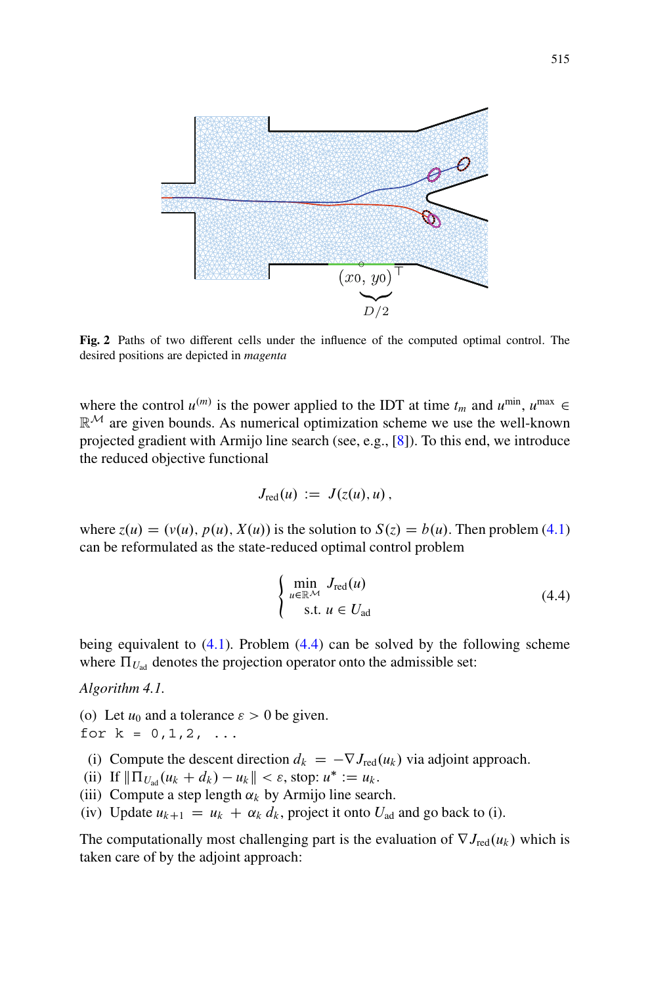<span id="page-10-0"></span>

**Fig. 2** Paths of two different cells under the influence of the computed optimal control. The desired positions are depicted in *magenta*

where the control  $u^{(m)}$  is the power applied to the IDT at time  $t_m$  and  $u^{\text{min}}$ ,  $u^{\text{max}}$  $\mathbb{R}^{\mathcal{M}}$  are given bounds. As numerical optimization scheme we use the well-known projected gradient with Armijo line search (see, e.g., [\[8\]](#page-14-0)). To this end, we introduce the reduced objective functional

$$
J_{\rm red}(u) := J(z(u),u)\,,
$$

where  $z(u) = (v(u), p(u), X(u))$  is the solution to  $S(z) = b(u)$ . Then problem [\(4.1\)](#page-8-0) can be reformulated as the state-reduced optimal control problem

$$
\begin{cases}\n\min_{u \in \mathbb{R}^M} J_{\text{red}}(u) \\
\text{s.t. } u \in U_{\text{ad}}\n\end{cases} \tag{4.4}
$$

being equivalent to  $(4.1)$ . Problem  $(4.4)$  can be solved by the following scheme where  $\Pi_{U_{ad}}$  denotes the projection operator onto the admissible set:

*Algorithm 4.1.*

(o) Let  $u_0$  and a tolerance  $\varepsilon > 0$  be given. for  $k = 0, 1, 2, ...$ 

- (i) Compute the descent direction  $d_k = -\nabla J_{\text{red}}(u_k)$  via adjoint approach.
- (ii) If  $\|\Pi_{U_{ad}}(u_k + d_k) u_k\| < \varepsilon$ , stop:  $u^* := u_k$ .<br> *iii*) Compute a step length  $\alpha_k$  by Armijo line sear
- (iii) Compute a step length  $\alpha_k$  by Armijo line search.
- (iv) Update  $u_{k+1} = u_k + \alpha_k d_k$ , project it onto  $U_{\text{ad}}$  and go back to (i).

The computationally most challenging part is the evaluation of  $\nabla J_{\text{red}}(u_k)$  which is taken care of by the adjoint approach: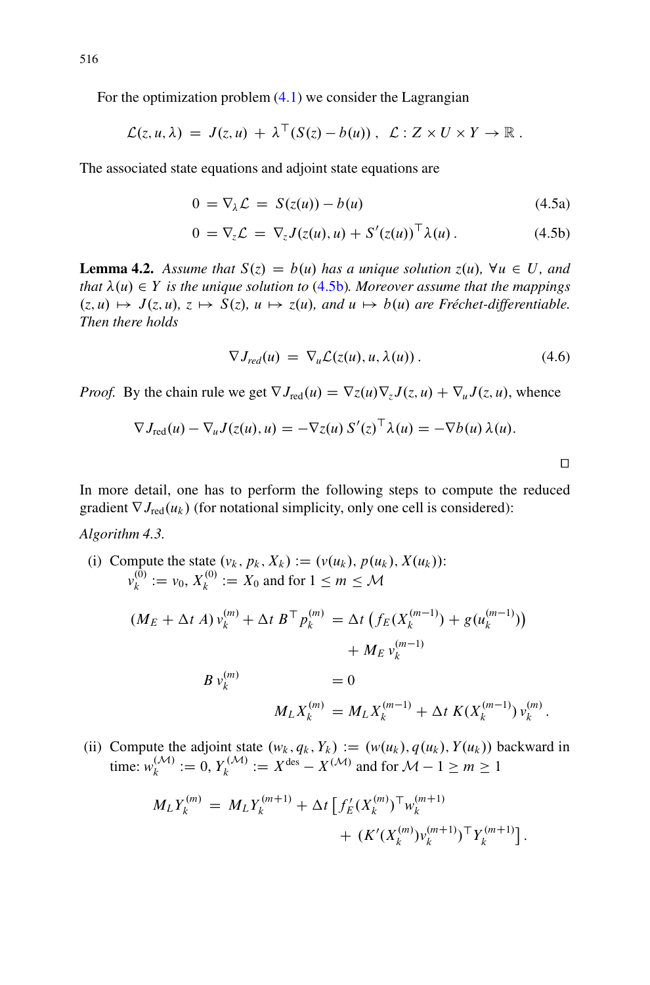<span id="page-11-0"></span>For the optimization problem  $(4.1)$  we consider the Lagrangian

$$
\mathcal{L}(z, u, \lambda) = J(z, u) + \lambda^{\top} (S(z) - b(u)), \ \mathcal{L}: Z \times U \times Y \to \mathbb{R}.
$$

The associated state equations and adjoint state equations are

$$
0 = \nabla_{\lambda} \mathcal{L} = S(z(u)) - b(u) \tag{4.5a}
$$

$$
0 = \nabla_z \mathcal{L} = \nabla_z J(z(u), u) + S'(z(u))^\top \lambda(u). \tag{4.5b}
$$

**Lemma 4.2.** Assume that  $S(z) = b(u)$  has a unique solution  $z(u)$ ,  $\forall u \in U$ , and *that*  $\lambda(u) \in Y$  *is the unique solution to* (4.5b)*. Moreover assume that the mappings*  $(z, u) \mapsto J(z, u), z \mapsto S(z), u \mapsto z(u),$  and  $u \mapsto b(u)$  are Fréchet-differentiable. *Then there holds*

$$
\nabla J_{red}(u) = \nabla_u \mathcal{L}(z(u), u, \lambda(u)). \qquad (4.6)
$$

 $\Box$ 

*Proof.* By the chain rule we get  $\nabla J_{\text{red}}(u) = \nabla z(u)\nabla_z J(z, u) + \nabla_u J(z, u)$ , whence

$$
\nabla J_{\text{red}}(u) - \nabla_u J(z(u), u) = -\nabla z(u) S'(z)^\top \lambda(u) = -\nabla b(u) \lambda(u).
$$

In more detail, one has to perform the following steps to compute the reduced gradient  $\nabla J_{\text{red}}(u_k)$  (for notational simplicity, only one cell is considered):

*Algorithm 4.3.*

(i) Compute the state 
$$
(v_k, p_k, X_k) := (v(u_k), p(u_k), X(u_k))
$$
:  
\n $v_k^{(0)} := v_0, X_k^{(0)} := X_0$  and for  $1 \le m \le M$   
\n $(M_E + \Delta t A) v_k^{(m)} + \Delta t B^{\top} p_k^{(m)} = \Delta t (f_E(X_k^{(m-1)}) + g(u_k^{(m-1)}))$   
\n $+ M_E v_k^{(m-1)}$   
\n $B v_k^{(m)}$   
\n $= 0$   
\n $M_L X_k^{(m)} = M_L X_k^{(m-1)} + \Delta t K(X_k^{(m-1)}) v_k^{(m)}$ .

(ii) Compute the adjoint state  $(w_k, q_k, Y_k) := (w(u_k), q(u_k), Y(u_k))$  backward in time:  $w_k^{(\mathcal{M})} := 0$ ,  $Y_k^{(\mathcal{M})} := X^{\text{des}} - X^{(\mathcal{M})}$  and for  $\mathcal{M} - 1 \ge m \ge 1$ 

$$
M_L Y_k^{(m)} = M_L Y_k^{(m+1)} + \Delta t \left[ f'_E (X_k^{(m)})^\top w_k^{(m+1)} + (K'(X_k^{(m)}) v_k^{(m+1)})^\top Y_k^{(m+1)} \right].
$$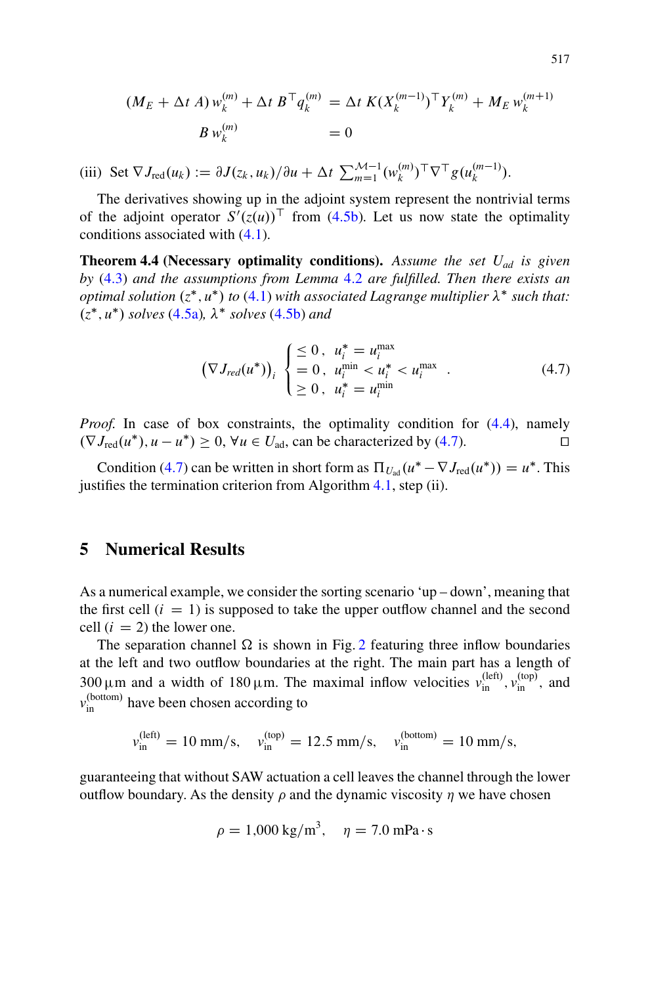$$
(M_E + \Delta t \, A) \, w_k^{(m)} + \Delta t \, B^\top q_k^{(m)} = \Delta t \, K (X_k^{(m-1)})^\top Y_k^{(m)} + M_E \, w_k^{(m+1)}
$$
  
= 0

(iii) Set  $\nabla J_{\text{red}}(u_k) := \partial J(z_k, u_k)/\partial u + \Delta t \sum_{m=1}^{M-1} (w_k^{(m)})$  $(x_k^{(m)})^{\top} \nabla^{\top} g(u_k^{(m-1)})$ .

The derivatives showing up in the adjoint system represent the nontrivial terms of the adjoint operator  $S'(z(u))$ <sup>1</sup> from [\(4.5b\)](#page-11-0). Let us now state the optimality conditions associated with [\(4.1\)](#page-8-0).

**Theorem 4.4 (Necessary optimality conditions).** *Assume the set* U*ad is given by* [\(4.3\)](#page-9-0) *and the assumptions from Lemma* [4.2](#page-11-0) *are fulfilled. Then there exists an optimal solution*  $(z^*, u^*)$  *to*  $(4.1)$  *with associated Lagrange multiplier*  $\lambda^*$  *such that:*  $(z^*, u^*)$  *solves* [\(4.5a\)](#page-11-0),  $\lambda^*$  *solves* [\(4.5b\)](#page-11-0) *and* 

$$
\left(\nabla J_{red}(u^*)\right)_i \begin{cases} \leq 0, & u_i^* = u_i^{\max} \\ = 0, & u_i^{\min} < u_i^* < u_i^{\max} \\ \geq 0, & u_i^* = u_i^{\min} \end{cases} . \tag{4.7}
$$

*Proof.* In case of box constraints, the optimality condition for  $(4.4)$ , namely  $(\nabla J_{\text{red}}(u^*), u - u^*) \ge 0, \forall u \in U_{\text{ad}}$ , can be characterized by (4.7).

Condition (4.7) can be written in short form as  $\Pi_{U_{ad}}(u^* - \nabla J_{red}(u^*)) = u^*$ . This tifies the termination criterion from Algorithm 4.1, step (ii) justifies the termination criterion from Algorithm [4.1,](#page-10-0) step (ii).

## **5 Numerical Results**

As a numerical example, we consider the sorting scenario 'up – down', meaning that the first cell  $(i = 1)$  is supposed to take the upper outflow channel and the second cell  $(i = 2)$  the lower one.

The separation channel  $\Omega$  is shown in Fig. [2](#page-10-0) featuring three inflow boundaries at the left and two outflow boundaries at the right. The main part has a length of 300  $\mu$ m and a width of 180  $\mu$ m. The maximal inflow velocities  $v_{\text{in}}^{(\text{left})}$  $\lim_{\text{in}}^{(\text{left})}, v_{\text{in}}^{(\text{top})}$  $\int_{\text{in}}^{\text{(top)}}$ , and  $v_{\rm in}^{\rm (bottom)}$  $\lim_{\text{in}}$  have been chosen according to

$$
v_{\text{in}}^{(\text{left})} = 10 \text{ mm/s}, \quad v_{\text{in}}^{(\text{top})} = 12.5 \text{ mm/s}, \quad v_{\text{in}}^{(\text{bottom})} = 10 \text{ mm/s},
$$

guaranteeing that without SAW actuation a cell leaves the channel through the lower outflow boundary. As the density  $\rho$  and the dynamic viscosity  $\eta$  we have chosen

$$
\rho = 1,000 \text{ kg/m}^3, \quad \eta = 7.0 \text{ mPa} \cdot \text{s}
$$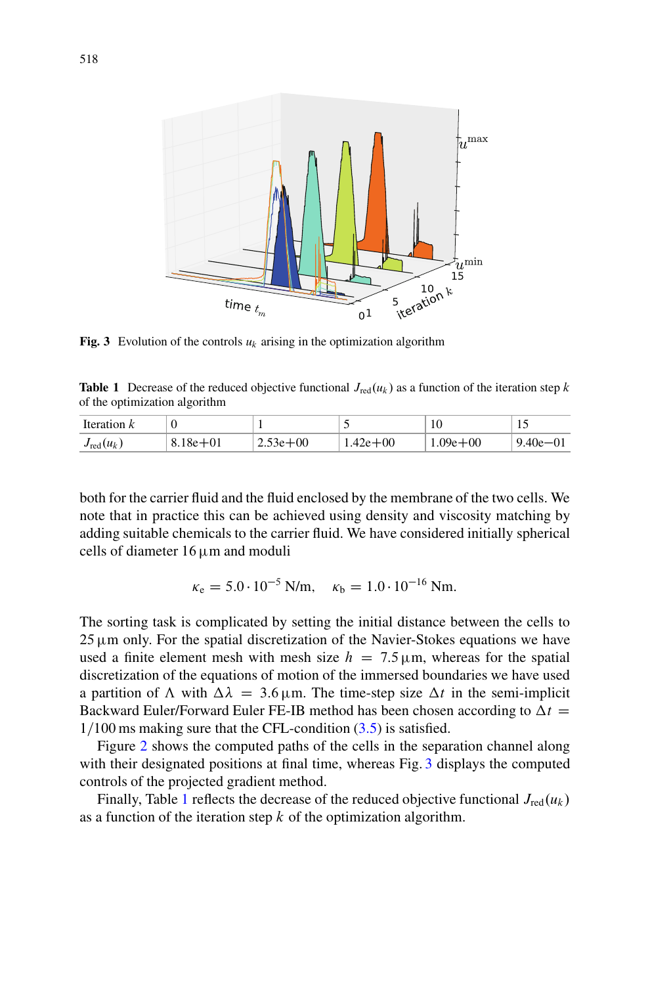

**Fig. 3** Evolution of the controls  $u_k$  arising in the optimization algorithm

**Table 1** Decrease of the reduced objective functional  $J_{\text{red}}(u_k)$  as a function of the iteration step k of the optimization algorithm

| Iteration $k$      | 0            |              |              |              | 1J |
|--------------------|--------------|--------------|--------------|--------------|----|
| $J_{\rm red}(u_k)$ | $8.18e + 01$ | $2.53e + 00$ | $1.42e + 00$ | $1.09e + 00$ | UΙ |
|                    |              |              |              |              |    |

both for the carrier fluid and the fluid enclosed by the membrane of the two cells. We note that in practice this can be achieved using density and viscosity matching by adding suitable chemicals to the carrier fluid. We have considered initially spherical cells of diameter  $16 \mu m$  and moduli

$$
\kappa_e = 5.0 \cdot 10^{-5} \text{ N/m}, \quad \kappa_b = 1.0 \cdot 10^{-16} \text{ Nm}.
$$

The sorting task is complicated by setting the initial distance between the cells to  $25 \mu m$  only. For the spatial discretization of the Navier-Stokes equations we have used a finite element mesh with mesh size  $h = 7.5 \,\mu\text{m}$ , whereas for the spatial discretization of the equations of motion of the immersed boundaries we have used a partition of  $\Lambda$  with  $\Delta \lambda = 3.6 \,\mu \text{m}$ . The time-step size  $\Delta t$  in the semi-implicit Backward Euler/Forward Euler FE-IB method has been chosen according to  $\Delta t$  =  $1/100$  ms making sure that the CFL-condition  $(3.5)$  is satisfied.

Figure [2](#page-10-0) shows the computed paths of the cells in the separation channel along with their designated positions at final time, whereas Fig. 3 displays the computed controls of the projected gradient method.

Finally, Table 1 reflects the decrease of the reduced objective functional  $J_{\text{red}}(u_k)$ as a function of the iteration step  $k$  of the optimization algorithm.